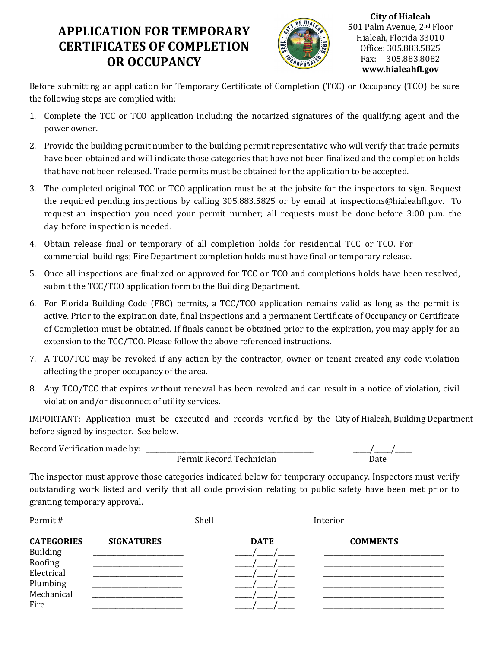## **APPLICATION FOR TEMPORARY CERTIFICATES OF COMPLETION OR OCCUPANCY**



**City of Hialeah** 501 Palm Avenue, 2nd Floor Hialeah, Florida 33010 Office: 305.883.5825 Fax: 305.883.8082 **www.hialeahfl.gov**

Before submitting an application for Temporary Certificate of Completion (TCC) or Occupancy (TCO) be sure the following steps are complied with:

- 1. Complete the TCC or TCO application including the notarized signatures of the qualifying agent and the power owner.
- 2. Provide the building permit number to the building permit representative who will verify that trade permits have been obtained and will indicate those categories that have not been finalized and the completion holds that have not been released. Trade permits must be obtained for the application to be accepted.
- 3. The completed original TCC or TCO application must be at the jobsite for the inspectors to sign. Request the required pending inspections by calling 305.883.5825 or by email at inspections@hialeahfl.gov. To request an inspection you need your permit number; all requests must be done before 3:00 p.m. the day before inspection is needed.
- 4. Obtain release final or temporary of all completion holds for residential TCC or TCO. For commercial buildings; Fire Department completion holds must have final or temporary release.
- 5. Once all inspections are finalized or approved for TCC or TCO and completions holds have been resolved, submit the TCC/TCO application form to the Building Department.
- 6. For Florida Building Code (FBC) permits, a TCC/TCO application remains valid as long as the permit is active. Prior to the expiration date, final inspections and a permanent Certificate of Occupancy or Certificate of Completion must be obtained. If finals cannot be obtained prior to the expiration, you may apply for an extension to the TCC/TCO. Please follow the above referenced instructions.
- 7. A TCO/TCC may be revoked if any action by the contractor, owner or tenant created any code violation affecting the proper occupancy of the area.
- 8. Any TCO/TCC that expires without renewal has been revoked and can result in a notice of violation, civil violation and/or disconnect of utility services.

IMPORTANT: Application must be executed and records verified by the City of Hialeah, Building Department before signed by inspector. See below.

Record Verification made by: \_\_\_\_\_\_\_\_\_\_\_\_\_\_\_\_\_\_\_\_\_\_\_\_\_\_\_\_\_\_\_\_\_\_\_\_\_\_\_\_\_\_\_\_\_\_\_\_\_\_ \_\_\_\_\_/\_\_\_\_\_/\_\_\_\_\_

Permit Record Technician

The inspector must approve those categories indicated below for temporary occupancy. Inspectors must verify outstanding work listed and verify that all code provision relating to public safety have been met prior to granting temporary approval.

| Permit#           | <u> 1980 - Jan Barbara Barbara, manazarta bash</u> | Shell<br>the control of the control of the | Interior        |
|-------------------|----------------------------------------------------|--------------------------------------------|-----------------|
| <b>CATEGORIES</b> | <b>SIGNATURES</b>                                  | <b>DATE</b>                                | <b>COMMENTS</b> |
| <b>Building</b>   |                                                    |                                            |                 |
| Roofing           |                                                    |                                            |                 |
| Electrical        |                                                    |                                            |                 |
| Plumbing          |                                                    |                                            |                 |
| Mechanical        |                                                    |                                            |                 |
| Fire              |                                                    |                                            |                 |